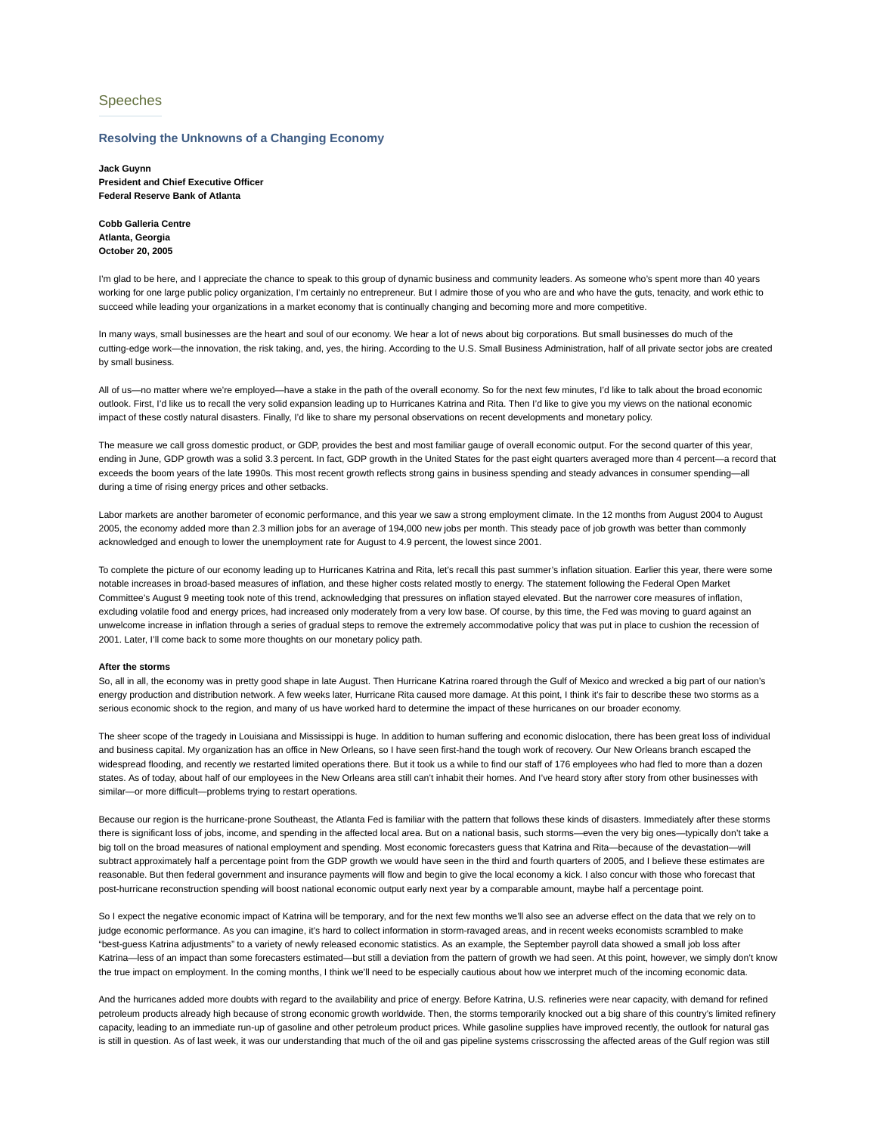# Speeches

### **Resolving the Unknowns of a Changing Economy**

**Jack Guynn President and Chief Executive Officer Federal Reserve Bank of Atlanta**

**Cobb Galleria Centre Atlanta, Georgia October 20, 2005**

I'm glad to be here, and I appreciate the chance to speak to this group of dynamic business and community leaders. As someone who's spent more than 40 years working for one large public policy organization, I'm certainly no entrepreneur. But I admire those of you who are and who have the guts, tenacity, and work ethic to succeed while leading your organizations in a market economy that is continually changing and becoming more and more competitive.

In many ways, small businesses are the heart and soul of our economy. We hear a lot of news about big corporations. But small businesses do much of the cutting-edge work—the innovation, the risk taking, and, yes, the hiring. According to the U.S. Small Business Administration, half of all private sector jobs are created by small business.

All of us—no matter where we're employed—have a stake in the path of the overall economy. So for the next few minutes, I'd like to talk about the broad economic outlook. First, I'd like us to recall the very solid expansion leading up to Hurricanes Katrina and Rita. Then I'd like to give you my views on the national economic impact of these costly natural disasters. Finally, I'd like to share my personal observations on recent developments and monetary policy.

The measure we call gross domestic product, or GDP, provides the best and most familiar gauge of overall economic output. For the second quarter of this year, ending in June, GDP growth was a solid 3.3 percent. In fact, GDP growth in the United States for the past eight quarters averaged more than 4 percent—a record that exceeds the boom years of the late 1990s. This most recent growth reflects strong gains in business spending and steady advances in consumer spending—all during a time of rising energy prices and other setbacks.

Labor markets are another barometer of economic performance, and this year we saw a strong employment climate. In the 12 months from August 2004 to August 2005, the economy added more than 2.3 million jobs for an average of 194,000 new jobs per month. This steady pace of job growth was better than commonly acknowledged and enough to lower the unemployment rate for August to 4.9 percent, the lowest since 2001.

To complete the picture of our economy leading up to Hurricanes Katrina and Rita, let's recall this past summer's inflation situation. Earlier this year, there were some notable increases in broad-based measures of inflation, and these higher costs related mostly to energy. The statement following the Federal Open Market Committee's August 9 meeting took note of this trend, acknowledging that pressures on inflation stayed elevated. But the narrower core measures of inflation, excluding volatile food and energy prices, had increased only moderately from a very low base. Of course, by this time, the Fed was moving to guard against an unwelcome increase in inflation through a series of gradual steps to remove the extremely accommodative policy that was put in place to cushion the recession of 2001. Later, I'll come back to some more thoughts on our monetary policy path.

#### **After the storms**

So, all in all, the economy was in pretty good shape in late August. Then Hurricane Katrina roared through the Gulf of Mexico and wrecked a big part of our nation's energy production and distribution network. A few weeks later, Hurricane Rita caused more damage. At this point, I think it's fair to describe these two storms as a serious economic shock to the region, and many of us have worked hard to determine the impact of these hurricanes on our broader economy.

The sheer scope of the tragedy in Louisiana and Mississippi is huge. In addition to human suffering and economic dislocation, there has been great loss of individual and business capital. My organization has an office in New Orleans, so I have seen first-hand the tough work of recovery. Our New Orleans branch escaped the widespread flooding, and recently we restarted limited operations there. But it took us a while to find our staff of 176 employees who had fled to more than a dozen states. As of today, about half of our employees in the New Orleans area still can't inhabit their homes. And I've heard story after story from other businesses with similar—or more difficult—problems trying to restart operations.

Because our region is the hurricane-prone Southeast, the Atlanta Fed is familiar with the pattern that follows these kinds of disasters. Immediately after these storms there is significant loss of jobs, income, and spending in the affected local area. But on a national basis, such storms—even the very big ones—typically don't take a big toll on the broad measures of national employment and spending. Most economic forecasters guess that Katrina and Rita—because of the devastation—will subtract approximately half a percentage point from the GDP growth we would have seen in the third and fourth quarters of 2005, and I believe these estimates are reasonable. But then federal government and insurance payments will flow and begin to give the local economy a kick. I also concur with those who forecast that post-hurricane reconstruction spending will boost national economic output early next year by a comparable amount, maybe half a percentage point.

So I expect the negative economic impact of Katrina will be temporary, and for the next few months we'll also see an adverse effect on the data that we rely on to judge economic performance. As you can imagine, it's hard to collect information in storm-ravaged areas, and in recent weeks economists scrambled to make "best-guess Katrina adjustments" to a variety of newly released economic statistics. As an example, the September payroll data showed a small job loss after Katrina—less of an impact than some forecasters estimated—but still a deviation from the pattern of growth we had seen. At this point, however, we simply don't know the true impact on employment. In the coming months, I think we'll need to be especially cautious about how we interpret much of the incoming economic data.

And the hurricanes added more doubts with regard to the availability and price of energy. Before Katrina, U.S. refineries were near capacity, with demand for refined petroleum products already high because of strong economic growth worldwide. Then, the storms temporarily knocked out a big share of this country's limited refinery capacity, leading to an immediate run-up of gasoline and other petroleum product prices. While gasoline supplies have improved recently, the outlook for natural gas is still in question. As of last week, it was our understanding that much of the oil and gas pipeline systems crisscrossing the affected areas of the Gulf region was still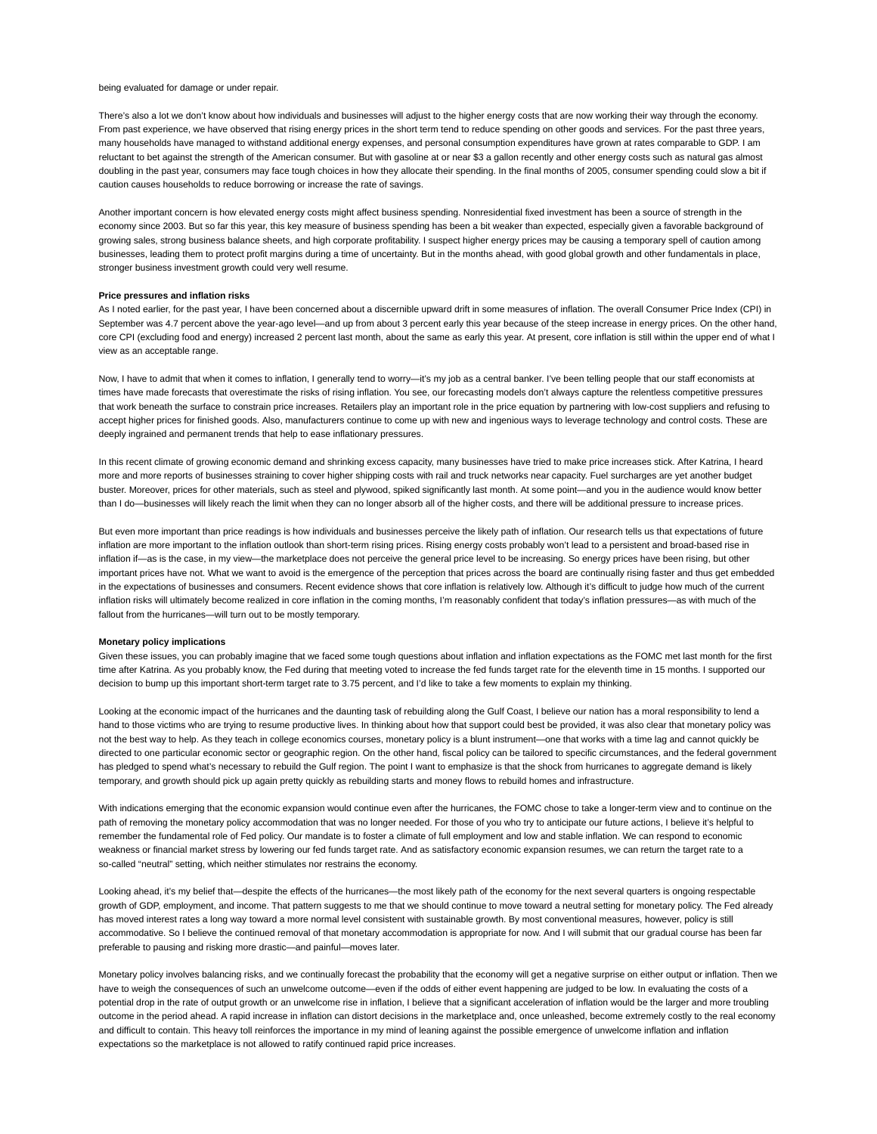#### being evaluated for damage or under repair.

There's also a lot we don't know about how individuals and businesses will adjust to the higher energy costs that are now working their way through the economy. From past experience, we have observed that rising energy prices in the short term tend to reduce spending on other goods and services. For the past three years, many households have managed to withstand additional energy expenses, and personal consumption expenditures have grown at rates comparable to GDP. I am reluctant to bet against the strength of the American consumer. But with gasoline at or near \$3 a gallon recently and other energy costs such as natural gas almost doubling in the past year, consumers may face tough choices in how they allocate their spending. In the final months of 2005, consumer spending could slow a bit if caution causes households to reduce borrowing or increase the rate of savings.

Another important concern is how elevated energy costs might affect business spending. Nonresidential fixed investment has been a source of strength in the economy since 2003. But so far this year, this key measure of business spending has been a bit weaker than expected, especially given a favorable background of growing sales, strong business balance sheets, and high corporate profitability. I suspect higher energy prices may be causing a temporary spell of caution among businesses, leading them to protect profit margins during a time of uncertainty. But in the months ahead, with good global growth and other fundamentals in place, stronger business investment growth could very well resume.

#### **Price pressures and inflation risks**

As I noted earlier, for the past year, I have been concerned about a discernible upward drift in some measures of inflation. The overall Consumer Price Index (CPI) in September was 4.7 percent above the year-ago level—and up from about 3 percent early this year because of the steep increase in energy prices. On the other hand, core CPI (excluding food and energy) increased 2 percent last month, about the same as early this year. At present, core inflation is still within the upper end of what I view as an acceptable range.

Now, I have to admit that when it comes to inflation, I generally tend to worry—it's my job as a central banker. I've been telling people that our staff economists at times have made forecasts that overestimate the risks of rising inflation. You see, our forecasting models don't always capture the relentless competitive pressures that work beneath the surface to constrain price increases. Retailers play an important role in the price equation by partnering with low-cost suppliers and refusing to accept higher prices for finished goods. Also, manufacturers continue to come up with new and ingenious ways to leverage technology and control costs. These are deeply ingrained and permanent trends that help to ease inflationary pressures.

In this recent climate of growing economic demand and shrinking excess capacity, many businesses have tried to make price increases stick. After Katrina, I heard more and more reports of businesses straining to cover higher shipping costs with rail and truck networks near capacity. Fuel surcharges are yet another budget buster. Moreover, prices for other materials, such as steel and plywood, spiked significantly last month. At some point—and you in the audience would know better than I do—businesses will likely reach the limit when they can no longer absorb all of the higher costs, and there will be additional pressure to increase prices.

But even more important than price readings is how individuals and businesses perceive the likely path of inflation. Our research tells us that expectations of future inflation are more important to the inflation outlook than short-term rising prices. Rising energy costs probably won't lead to a persistent and broad-based rise in inflation if—as is the case, in my view—the marketplace does not perceive the general price level to be increasing. So energy prices have been rising, but other important prices have not. What we want to avoid is the emergence of the perception that prices across the board are continually rising faster and thus get embedded in the expectations of businesses and consumers. Recent evidence shows that core inflation is relatively low. Although it's difficult to judge how much of the current inflation risks will ultimately become realized in core inflation in the coming months, I'm reasonably confident that today's inflation pressures—as with much of the fallout from the hurricanes—will turn out to be mostly temporary.

#### **Monetary policy implications**

Given these issues, you can probably imagine that we faced some tough questions about inflation and inflation expectations as the FOMC met last month for the first time after Katrina. As you probably know, the Fed during that meeting voted to increase the fed funds target rate for the eleventh time in 15 months. I supported our decision to bump up this important short-term target rate to 3.75 percent, and I'd like to take a few moments to explain my thinking.

Looking at the economic impact of the hurricanes and the daunting task of rebuilding along the Gulf Coast, I believe our nation has a moral responsibility to lend a hand to those victims who are trying to resume productive lives. In thinking about how that support could best be provided, it was also clear that monetary policy was not the best way to help. As they teach in college economics courses, monetary policy is a blunt instrument—one that works with a time lag and cannot quickly be directed to one particular economic sector or geographic region. On the other hand, fiscal policy can be tailored to specific circumstances, and the federal government has pledged to spend what's necessary to rebuild the Gulf region. The point I want to emphasize is that the shock from hurricanes to aggregate demand is likely temporary, and growth should pick up again pretty quickly as rebuilding starts and money flows to rebuild homes and infrastructure.

With indications emerging that the economic expansion would continue even after the hurricanes, the FOMC chose to take a longer-term view and to continue on the path of removing the monetary policy accommodation that was no longer needed. For those of you who try to anticipate our future actions, I believe it's helpful to remember the fundamental role of Fed policy. Our mandate is to foster a climate of full employment and low and stable inflation. We can respond to economic weakness or financial market stress by lowering our fed funds target rate. And as satisfactory economic expansion resumes, we can return the target rate to a so-called "neutral" setting, which neither stimulates nor restrains the economy.

Looking ahead, it's my belief that-despite the effects of the hurricanes—the most likely path of the economy for the next several quarters is ongoing respectable growth of GDP, employment, and income. That pattern suggests to me that we should continue to move toward a neutral setting for monetary policy. The Fed already has moved interest rates a long way toward a more normal level consistent with sustainable growth. By most conventional measures, however, policy is still accommodative. So I believe the continued removal of that monetary accommodation is appropriate for now. And I will submit that our gradual course has been far preferable to pausing and risking more drastic—and painful—moves later.

Monetary policy involves balancing risks, and we continually forecast the probability that the economy will get a negative surprise on either output or inflation. Then we have to weigh the consequences of such an unwelcome outcome—even if the odds of either event happening are judged to be low. In evaluating the costs of a potential drop in the rate of output growth or an unwelcome rise in inflation, I believe that a significant acceleration of inflation would be the larger and more troubling outcome in the period ahead. A rapid increase in inflation can distort decisions in the marketplace and, once unleashed, become extremely costly to the real economy and difficult to contain. This heavy toll reinforces the importance in my mind of leaning against the possible emergence of unwelcome inflation and inflation expectations so the marketplace is not allowed to ratify continued rapid price increases.